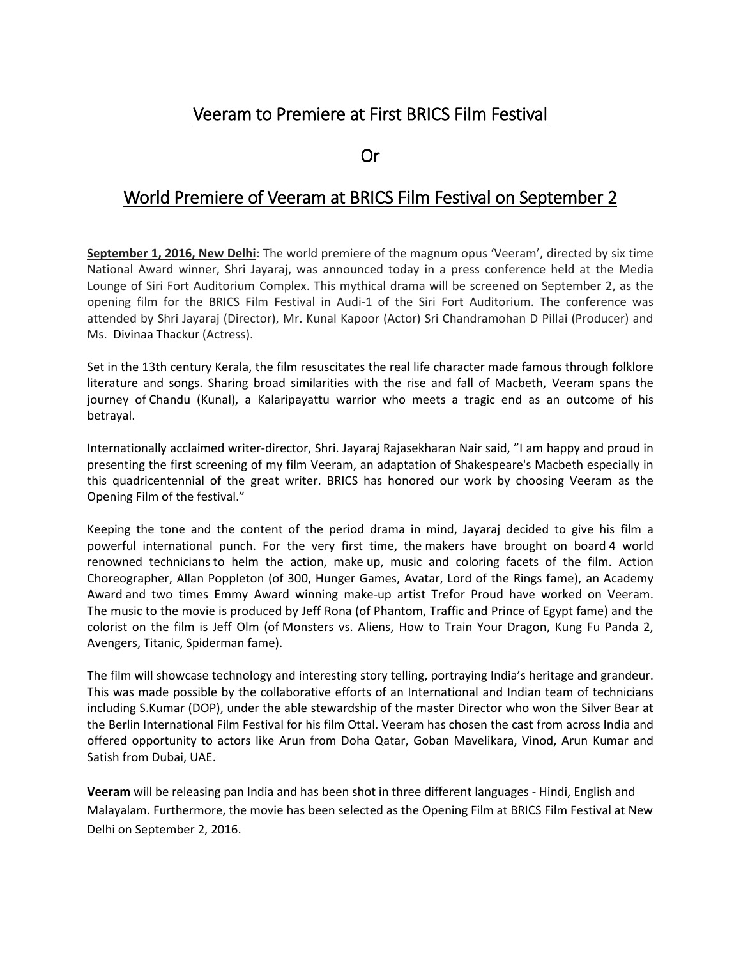## Veeram to Premiere at First BRICS Film Festival

Or

## World Premiere of Veeram at BRICS Film Festival on September 2

**September 1, 2016, New Delhi**: The world premiere of the magnum opus 'Veeram', directed by six time National Award winner, Shri Jayaraj, was announced today in a press conference held at the Media Lounge of Siri Fort Auditorium Complex. This mythical drama will be screened on September 2, as the opening film for the BRICS Film Festival in Audi-1 of the Siri Fort Auditorium. The conference was attended by Shri Jayaraj (Director), Mr. Kunal Kapoor (Actor) Sri Chandramohan D Pillai (Producer) and Ms. Divinaa Thackur (Actress).

Set in the 13th century Kerala, the film resuscitates the real life character made famous through folklore literature and songs. Sharing broad similarities with the rise and fall of Macbeth, Veeram spans the journey of Chandu (Kunal), a Kalaripayattu warrior who meets a tragic end as an outcome of his betrayal.

Internationally acclaimed writer-director, Shri. Jayaraj Rajasekharan Nair said, "I am happy and proud in presenting the first screening of my film Veeram, an adaptation of Shakespeare's Macbeth especially in this quadricentennial of the great writer. BRICS has honored our work by choosing Veeram as the Opening Film of the festival."

Keeping the tone and the content of the period drama in mind, Jayaraj decided to give his film a powerful international punch. For the very first time, the makers have brought on board 4 world renowned technicians to helm the action, make up, music and coloring facets of the film. Action Choreographer, Allan Poppleton (of 300, Hunger Games, Avatar, Lord of the Rings fame), an Academy Award and two times Emmy Award winning make-up artist Trefor Proud have worked on Veeram. The music to the movie is produced by Jeff Rona (of Phantom, Traffic and Prince of Egypt fame) and the colorist on the film is Jeff Olm (of Monsters vs. Aliens, How to Train Your Dragon, Kung Fu Panda 2, Avengers, Titanic, Spiderman fame).

The film will showcase technology and interesting story telling, portraying India's heritage and grandeur. This was made possible by the collaborative efforts of an International and Indian team of technicians including S.Kumar (DOP), under the able stewardship of the master Director who won the Silver Bear at the Berlin International Film Festival for his film Ottal. Veeram has chosen the cast from across India and offered opportunity to actors like Arun from Doha Qatar, Goban Mavelikara, Vinod, Arun Kumar and Satish from Dubai, UAE.

**Veeram** will be releasing pan India and has been shot in three different languages - Hindi, English and Malayalam. Furthermore, the movie has been selected as the Opening Film at BRICS Film Festival at New Delhi on September 2, 2016.